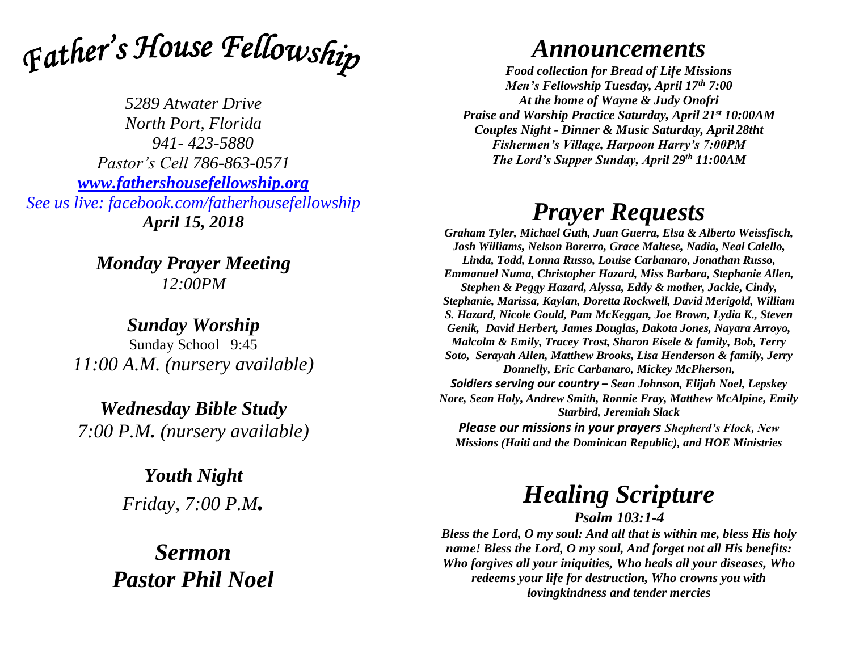

*5289 Atwater Drive North Port, Florida 941- 423-5880 Pastor's Cell 786-863-0571 [www.fathershousefellowship.org](http://www.fathershousefellowship.org/) See us live: facebook.com/fatherhousefellowship April 15, 2018*

> *Monday Prayer Meeting 12:00PM*

*Sunday Worship* Sunday School 9:45 *11:00 A.M. (nursery available)*

*Wednesday Bible Study 7:00 P.M. (nursery available)*

> *Youth Night Friday, 7:00 P.M.*

*Sermon Pastor Phil Noel*

## *Announcements*

*Food collection for Bread of Life Missions Men's Fellowship Tuesday, April 17th 7:00 At the home of Wayne & Judy Onofri Praise and Worship Practice Saturday, April 21st 10:00AM Couples Night - Dinner & Music Saturday, April 28tht Fishermen's Village, Harpoon Harry's 7:00PM The Lord's Supper Sunday, April 29th 11:00AM*

## *Prayer Requests*

*Graham Tyler, Michael Guth, Juan Guerra, Elsa & Alberto Weissfisch, Josh Williams, Nelson Borerro, Grace Maltese, Nadia, Neal Calello, Linda, Todd, Lonna Russo, Louise Carbanaro, Jonathan Russo, Emmanuel Numa, Christopher Hazard, Miss Barbara, Stephanie Allen, Stephen & Peggy Hazard, Alyssa, Eddy & mother, Jackie, Cindy, Stephanie, Marissa, Kaylan, Doretta Rockwell, David Merigold, William S. Hazard, Nicole Gould, Pam McKeggan, Joe Brown, Lydia K., Steven Genik, David Herbert, James Douglas, Dakota Jones, Nayara Arroyo, Malcolm & Emily, Tracey Trost, Sharon Eisele & family, Bob, Terry Soto, Serayah Allen, Matthew Brooks, Lisa Henderson & family, Jerry Donnelly, Eric Carbanaro, Mickey McPherson, Soldiers serving our country – Sean Johnson, Elijah Noel, Lepskey Nore, Sean Holy, Andrew Smith, Ronnie Fray, Matthew McAlpine, Emily Starbird, Jeremiah Slack Please our missions in your prayers Shepherd's Flock, New* 

*Missions (Haiti and the Dominican Republic), and HOE Ministries*

## *Healing Scripture*

*Psalm 103:1-4*

*Bless the Lord, O my soul: And all that is within me, bless His holy name! Bless the Lord, O my soul, And forget not all His benefits: Who forgives all your iniquities, Who heals all your diseases, Who redeems your life for destruction, Who crowns you with lovingkindness and tender mercies*